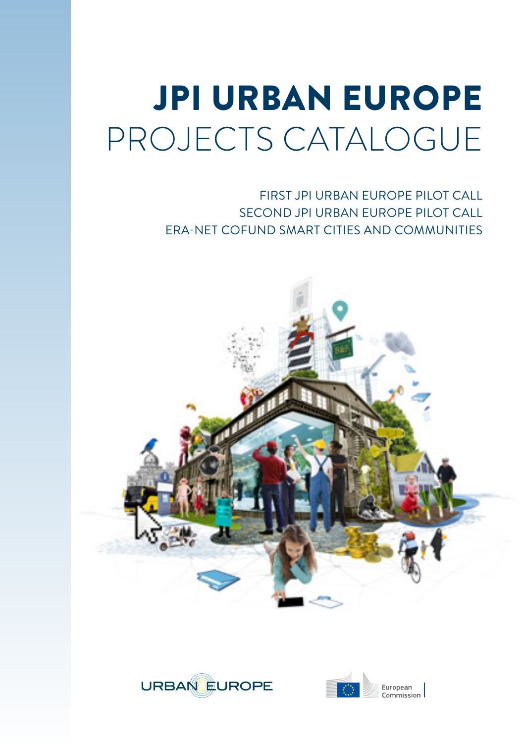# JPI URBAN EUROPE PROJECTS CATALOGUE

FIRST JPI URBAN EUROPE PILOT CALL SECOND JPI URBAN EUROPE PILOT CALL ERA-NET COFUND SMART CITIES AND COMMUNITIES





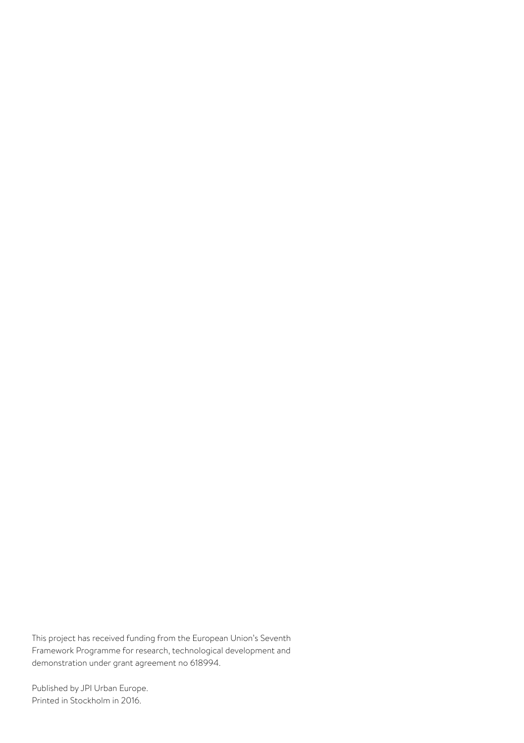This project has received funding from the European Union's Seventh Framework Programme for research, technological development and demonstration under grant agreement no 618994.

Published by JPI Urban Europe. Printed in Stockholm in 2016.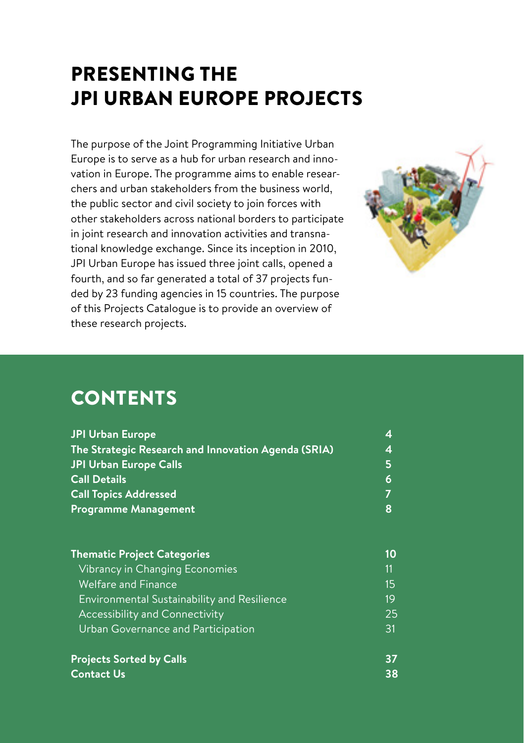# PRESENTING THE JPI URBAN EUROPE PROJECTS

The purpose of the Joint Programming Initiative Urban Europe is to serve as a hub for urban research and innovation in Europe. The programme aims to enable researchers and urban stakeholders from the business world, the public sector and civil society to join forces with other stakeholders across national borders to participate in joint research and innovation activities and transnational knowledge exchange. Since its inception in 2010, JPI Urban Europe has issued three joint calls, opened a fourth, and so far generated a total of 37 projects funded by 23 funding agencies in 15 countries. The purpose of this Projects Catalogue is to provide an overview of these research projects.



# **CONTENTS**

| <b>JPI Urban Europe</b>                             | 4  |  |  |
|-----------------------------------------------------|----|--|--|
| The Strategic Research and Innovation Agenda (SRIA) |    |  |  |
| <b>JPI Urban Europe Calls</b>                       | 5  |  |  |
| <b>Call Details</b>                                 | 6  |  |  |
| <b>Call Topics Addressed</b>                        |    |  |  |
| <b>Programme Management</b>                         | 8  |  |  |
| <b>Thematic Project Categories</b>                  | 10 |  |  |
| Vibrancy in Changing Economies                      | 11 |  |  |
| <b>Welfare and Finance</b>                          | 15 |  |  |
| <b>Environmental Sustainability and Resilience</b>  | 19 |  |  |
| <b>Accessibility and Connectivity</b>               | 25 |  |  |
| Urban Governance and Participation                  | 31 |  |  |
| <b>Projects Sorted by Calls</b>                     | 37 |  |  |

**Contact Us 38**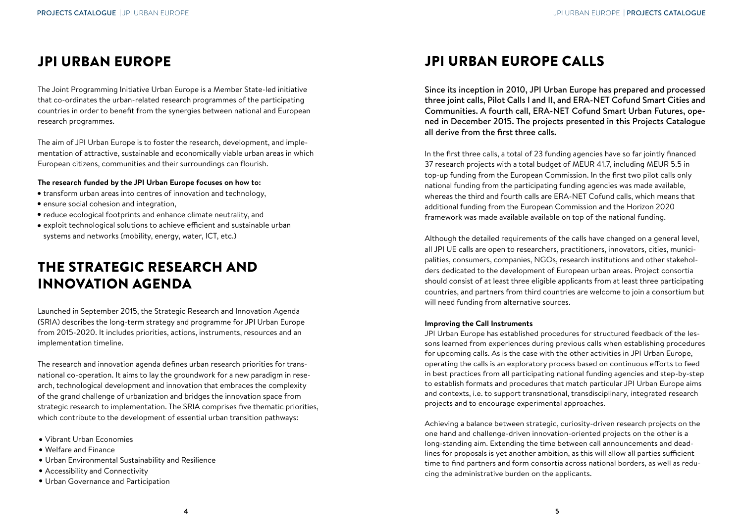# JPI URBAN EUROPE

The Joint Programming Initiative Urban Europe is a Member State-led initiative that co-ordinates the urban-related research programmes of the participating countries in order to benefit from the synergies between national and European research programmes.

The aim of JPI Urban Europe is to foster the research, development, and implementation of attractive, sustainable and economically viable urban areas in which European citizens, communities and their surroundings can flourish.

#### **The research funded by the JPI Urban Europe focuses on how to:**

- transform urban areas into centres of innovation and technology,
- ensure social cohesion and integration,
- reduce ecological footprints and enhance climate neutrality, and
- exploit technological solutions to achieve efficient and sustainable urban systems and networks (mobility, energy, water, ICT, etc.)

# THE STRATEGIC RESEARCH AND INNOVATION AGENDA

Launched in September 2015, the Strategic Research and Innovation Agenda (SRIA) describes the long-term strategy and programme for JPI Urban Europe from 2015-2020. It includes priorities, actions, instruments, resources and an implementation timeline.

The research and innovation agenda defines urban research priorities for transnational co-operation. It aims to lay the groundwork for a new paradigm in research, technological development and innovation that embraces the complexity of the grand challenge of urbanization and bridges the innovation space from strategic research to implementation. The SRIA comprises five thematic priorities, which contribute to the development of essential urban transition pathways:

- Vibrant Urban Economies
- Welfare and Finance
- Urban Environmental Sustainability and Resilience
- Accessibility and Connectivity
- Urban Governance and Participation

# JPI URBAN EUROPE CALLS

Since its inception in 2010, JPI Urban Europe has prepared and processed three joint calls, Pilot Calls I and II, and ERA-NET Cofund Smart Cities and Communities. A fourth call, ERA-NET Cofund Smart Urban Futures, opened in December 2015. The projects presented in this Projects Catalogue all derive from the first three calls.

In the first three calls, a total of 23 funding agencies have so far jointly financed 37 research projects with a total budget of MEUR 41.7, including MEUR 5.5 in top-up funding from the European Commission. In the first two pilot calls only national funding from the participating funding agencies was made available, whereas the third and fourth calls are ERA-NET Cofund calls, which means that additional funding from the European Commission and the Horizon 2020 framework was made available available on top of the national funding.

Although the detailed requirements of the calls have changed on a general level, all JPI UE calls are open to researchers, practitioners, innovators, cities, municipalities, consumers, companies, NGOs, research institutions and other stakeholders dedicated to the development of European urban areas. Project consortia should consist of at least three eligible applicants from at least three participating countries, and partners from third countries are welcome to join a consortium but will need funding from alternative sources.

#### **Improving the Call Instruments**

JPI Urban Europe has established procedures for structured feedback of the lessons learned from experiences during previous calls when establishing procedures for upcoming calls. As is the case with the other activities in JPI Urban Europe, operating the calls is an exploratory process based on continuous efforts to feed in best practices from all participating national funding agencies and step-by-step to establish formats and procedures that match particular JPI Urban Europe aims and contexts, i.e. to support transnational, transdisciplinary, integrated research projects and to encourage experimental approaches.

Achieving a balance between strategic, curiosity-driven research projects on the one hand and challenge-driven innovation-oriented projects on the other is a long-standing aim. Extending the time between call announcements and deadlines for proposals is yet another ambition, as this will allow all parties sufficient time to find partners and form consortia across national borders, as well as reducing the administrative burden on the applicants.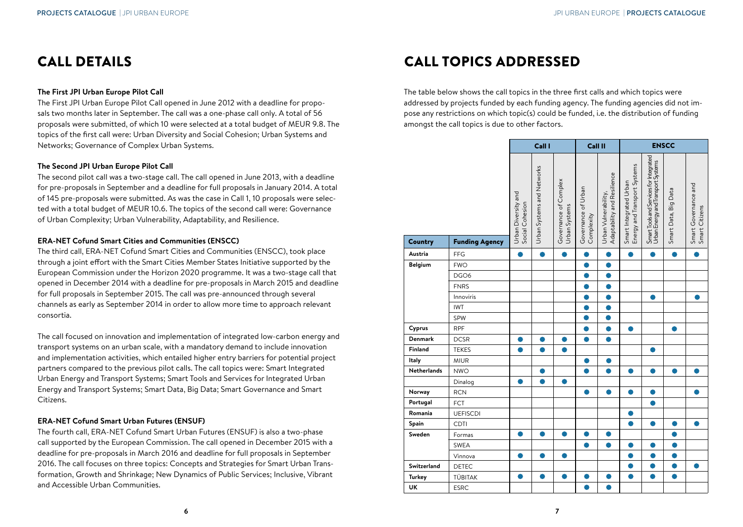# CALL DETAILS

#### **The First JPI Urban Europe Pilot Call**

The First JPI Urban Europe Pilot Call opened in June 2012 with a deadline for proposals two months later in September. The call was a one-phase call only. A total of 56 proposals were submitted, of which 10 were selected at a total budget of MEUR 9.8. The topics of the first call were: Urban Diversity and Social Cohesion; Urban Systems and Networks; Governance of Complex Urban Systems.

#### **The Second JPI Urban Europe Pilot Call**

The second pilot call was a two-stage call. The call opened in June 2013, with a deadline for pre-proposals in September and a deadline for full proposals in January 2014. A total of 145 pre-proposals were submitted. As was the case in Call 1, 10 proposals were selected with a total budget of MEUR 10.6. The topics of the second call were: Governance of Urban Complexity; Urban Vulnerability, Adaptability, and Resilience.

#### **ERA-NET Cofund Smart Cities and Communities (ENSCC)**

The third call, ERA-NET Cofund Smart Cities and Communities (ENSCC), took place through a joint effort with the Smart Cities Member States Initiative supported by the European Commission under the Horizon 2020 programme. It was a two-stage call that opened in December 2014 with a deadline for pre-proposals in March 2015 and deadline for full proposals in September 2015. The call was pre-announced through several channels as early as September 2014 in order to allow more time to approach relevant consortia.

The call focused on innovation and implementation of integrated low-carbon energy and transport systems on an urban scale, with a mandatory demand to include innovation and implementation activities, which entailed higher entry barriers for potential project partners compared to the previous pilot calls. The call topics were: Smart Integrated Urban Energy and Transport Systems; Smart Tools and Services for Integrated Urban Energy and Transport Systems; Smart Data, Big Data; Smart Governance and Smart Citizens.

#### **ERA-NET Cofund Smart Urban Futures (ENSUF)**

The fourth call, ERA-NET Cofund Smart Urban Futures (ENSUF) is also a two-phase call supported by the European Commission. The call opened in December 2015 with a deadline for pre-proposals in March 2016 and deadline for full proposals in September 2016. The call focuses on three topics: Concepts and Strategies for Smart Urban Transformation, Growth and Shrinkage; New Dynamics of Public Services; Inclusive, Vibrant and Accessible Urban Communities.

# CALL TOPICS ADDRESSED

The table below shows the call topics in the three first calls and which topics were addressed by projects funded by each funding agency. The funding agencies did not impose any restrictions on which topic(s) could be funded, i.e. the distribution of funding amongst the call topics is due to other factors.

|               |                       | Call I                                 |                            |                                        | Call II                           |                                                     | <b>ENSCC</b>                                           |                                                                               |                      |                                        |
|---------------|-----------------------|----------------------------------------|----------------------------|----------------------------------------|-----------------------------------|-----------------------------------------------------|--------------------------------------------------------|-------------------------------------------------------------------------------|----------------------|----------------------------------------|
|               |                       | Urban Diversity and<br>Social Cohesion | Urban Systems and Networks | Governance of Complex<br>Urban Systems | Governance of Urban<br>Complexity | Adaptability and Resilience<br>Urban Vulnerability, | Energy and Transport Systems<br>Smart Integrated Urban | Smart Tools and Services for Integrated<br>Urban Energy and Transport Systems | Smart Data, Big Data | Smart Governance and<br>Smart Citizens |
| Country       | <b>Funding Agency</b> |                                        |                            |                                        |                                   |                                                     |                                                        |                                                                               |                      |                                        |
| Austria       | FFG                   | ●                                      | ●                          | $\bullet$                              | $\bullet$                         | 0                                                   |                                                        | $\bullet$                                                                     |                      | ●                                      |
| Belgium       | <b>FWO</b>            |                                        |                            |                                        | Α                                 | ●                                                   |                                                        |                                                                               |                      |                                        |
|               | DGO6                  |                                        |                            |                                        | D                                 |                                                     |                                                        |                                                                               |                      |                                        |
|               | <b>FNRS</b>           |                                        |                            |                                        | n                                 |                                                     |                                                        |                                                                               |                      |                                        |
|               | Innoviris             |                                        |                            |                                        | D                                 |                                                     |                                                        | O                                                                             |                      |                                        |
|               | <b>IWT</b>            |                                        |                            |                                        | D                                 |                                                     |                                                        |                                                                               |                      |                                        |
|               | SPW                   |                                        |                            |                                        | Ô                                 |                                                     |                                                        |                                                                               |                      |                                        |
| Cyprus        | <b>RPF</b>            |                                        |                            |                                        | D                                 |                                                     |                                                        |                                                                               |                      |                                        |
| Denmark       | <b>DCSR</b>           | O                                      | O                          | 0                                      | $\bullet$                         | $\bullet$                                           |                                                        |                                                                               |                      |                                        |
| Finland       | <b>TEKES</b>          | ●                                      |                            | Ω                                      |                                   |                                                     |                                                        | Ο                                                                             |                      |                                        |
| Italy         | <b>MIUR</b>           |                                        |                            |                                        | o                                 |                                                     |                                                        |                                                                               |                      |                                        |
| Netherlands   | <b>NWO</b>            |                                        |                            |                                        | D                                 |                                                     |                                                        | r i                                                                           |                      |                                        |
|               | Dinalog               | O                                      |                            | O                                      |                                   |                                                     |                                                        |                                                                               |                      |                                        |
| Norway        | <b>RCN</b>            |                                        |                            |                                        | ●                                 | 0                                                   |                                                        | ●                                                                             |                      |                                        |
| Portugal      | FCT                   |                                        |                            |                                        |                                   |                                                     |                                                        |                                                                               |                      |                                        |
| Romania       | <b>UEFISCDI</b>       |                                        |                            |                                        |                                   |                                                     |                                                        |                                                                               |                      |                                        |
| Spain         | CDTI                  |                                        |                            |                                        |                                   |                                                     |                                                        |                                                                               |                      |                                        |
| Sweden        | Formas                | ●                                      | ●                          | Ο                                      | $\bullet$                         | 0                                                   |                                                        |                                                                               |                      |                                        |
|               | <b>SWEA</b>           |                                        |                            |                                        | $\bullet$                         |                                                     |                                                        |                                                                               |                      |                                        |
|               | Vinnova               |                                        |                            |                                        |                                   |                                                     |                                                        |                                                                               |                      |                                        |
| Switzerland   | <b>DETEC</b>          |                                        |                            |                                        |                                   |                                                     |                                                        |                                                                               | D                    | o                                      |
| <b>Turkey</b> | TÜBITAK               | ●                                      | O                          | $\bullet$                              | $\bullet$                         | O                                                   | $\bullet$                                              | $\bullet$                                                                     | $\bullet$            |                                        |
| UK            | <b>ESRC</b>           |                                        |                            |                                        |                                   |                                                     |                                                        |                                                                               |                      |                                        |
|               |                       |                                        |                            |                                        |                                   |                                                     |                                                        |                                                                               |                      |                                        |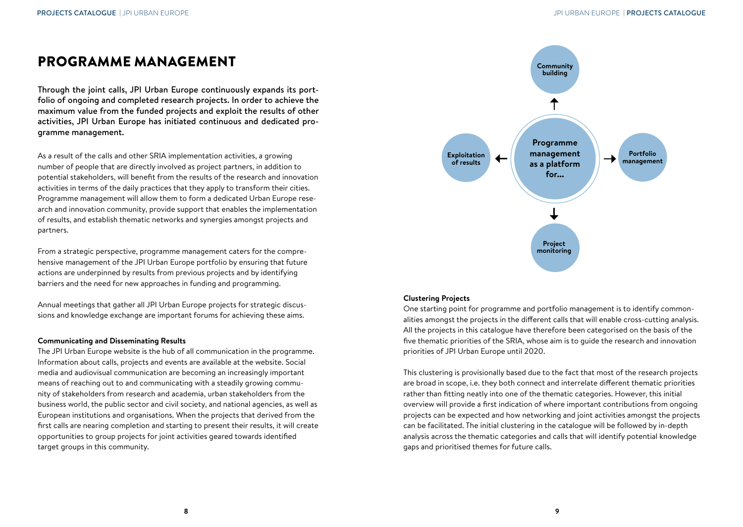# PROGRAMME MANAGEMENT

Through the joint calls, JPI Urban Europe continuously expands its portfolio of ongoing and completed research projects. In order to achieve the maximum value from the funded projects and exploit the results of other activities, JPI Urban Europe has initiated continuous and dedicated programme management.

As a result of the calls and other SRIA implementation activities, a growing number of people that are directly involved as project partners, in addition to potential stakeholders, will benefit from the results of the research and innovation activities in terms of the daily practices that they apply to transform their cities. Programme management will allow them to form a dedicated Urban Europe research and innovation community, provide support that enables the implementation of results, and establish thematic networks and synergies amongst projects and partners.

From a strategic perspective, programme management caters for the comprehensive management of the JPI Urban Europe portfolio by ensuring that future actions are underpinned by results from previous projects and by identifying barriers and the need for new approaches in funding and programming.

Annual meetings that gather all JPI Urban Europe projects for strategic discussions and knowledge exchange are important forums for achieving these aims.

#### **Communicating and Disseminating Results**

The JPI Urban Europe website is the hub of all communication in the programme. Information about calls, projects and events are available at the website. Social media and audiovisual communication are becoming an increasingly important means of reaching out to and communicating with a steadily growing community of stakeholders from research and academia, urban stakeholders from the business world, the public sector and civil society, and national agencies, as well as European institutions and organisations. When the projects that derived from the first calls are nearing completion and starting to present their results, it will create opportunities to group projects for joint activities geared towards identified target groups in this community.



#### **Clustering Projects**

One starting point for programme and portfolio management is to identify commonalities amongst the projects in the different calls that will enable cross-cutting analysis. All the projects in this catalogue have therefore been categorised on the basis of the five thematic priorities of the SRIA, whose aim is to guide the research and innovation priorities of JPI Urban Europe until 2020.

This clustering is provisionally based due to the fact that most of the research projects are broad in scope, i.e. they both connect and interrelate different thematic priorities rather than fitting neatly into one of the thematic categories. However, this initial overview will provide a first indication of where important contributions from ongoing projects can be expected and how networking and joint activities amongst the projects can be facilitated. The initial clustering in the catalogue will be followed by in-depth analysis across the thematic categories and calls that will identify potential knowledge gaps and prioritised themes for future calls.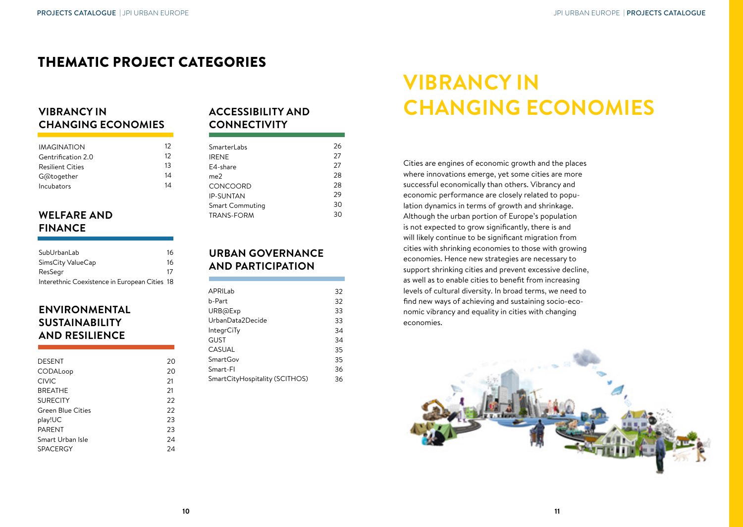# THEMATIC PROJECT CATEGORIES

#### **VIBRANCY IN CHANGING ECONOMIES**

| 12 |
|----|
| 12 |
| 13 |
| 14 |
| 14 |
|    |

#### **WELFARE AND FINANCE**

| SubUrbanLab                                   | 16 |
|-----------------------------------------------|----|
| SimsCity ValueCap                             | 16 |
| ResSear                                       | 17 |
| Interethnic Coexistence in European Cities 18 |    |

#### **ENVIRONMENTAL SUSTAINABILITY AND RESILIENCE**

| DESENT                   | 20 |
|--------------------------|----|
| CODALoop                 | 20 |
| <b>CIVIC</b>             | 21 |
| <b>BREATHE</b>           | 21 |
| <b>SURECITY</b>          | 22 |
| <b>Green Blue Cities</b> | 22 |
| play!UC                  | 23 |
| <b>PARENT</b>            | 23 |
| Smart Urban Isle         | 24 |
| <b>SPACERGY</b>          | 24 |
|                          |    |

#### **ACCESSIBILITY AND CONNECTIVITY**

| SmarterLabs       | 26 |
|-------------------|----|
| <b>IRENE</b>      | 27 |
| E4-share          | 27 |
| me2               | 28 |
| CONCOORD          | 28 |
| <b>IP-SUNTAN</b>  | 29 |
| Smart Commuting   | 30 |
| <b>TRANS-FORM</b> | 30 |
|                   |    |

#### **URBAN GOVERNANCE AND PARTICIPATION**

| APRII ab                       | 32 |
|--------------------------------|----|
| b-Part                         | 32 |
| URB@Exp                        | 33 |
| UrbanData2Decide               | 33 |
| IntegrCiTy                     | 34 |
| GUST                           | 34 |
| CASUAL                         | 35 |
| SmartGov                       | 35 |
| Smart-Fl                       | 36 |
| SmartCityHospitality (SCITHOS) | 36 |

# **VIBRANCY IN CHANGING ECONOMIES**

Cities are engines of economic growth and the places where innovations emerge, yet some cities are more successful economically than others. Vibrancy and economic performance are closely related to population dynamics in terms of growth and shrinkage. Although the urban portion of Europe's population is not expected to grow significantly, there is and will likely continue to be significant migration from cities with shrinking economies to those with growing economies. Hence new strategies are necessary to support shrinking cities and prevent excessive decline, as well as to enable cities to benefit from increasing levels of cultural diversity. In broad terms, we need to find new ways of achieving and sustaining socio-economic vibrancy and equality in cities with changing economies.

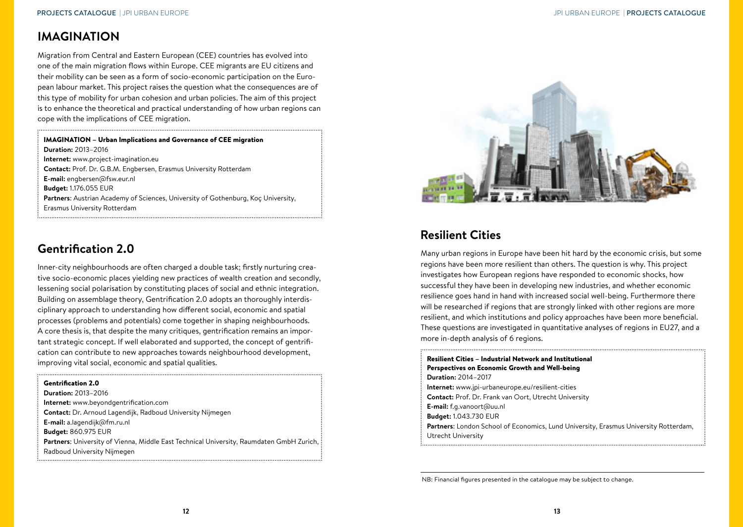## <span id="page-7-0"></span>**IMAGINATION**

Migration from Central and Eastern European (CEE) countries has evolved into one of the main migration flows within Europe. CEE migrants are EU citizens and their mobility can be seen as a form of socio-economic participation on the European labour market. This project raises the question what the consequences are of this type of mobility for urban cohesion and urban policies. The aim of this project is to enhance the theoretical and practical understanding of how urban regions can cope with the implications of CEE migration.

#### IMAGINATION – Urban Implications and Governance of CEE migration **Duration:** 2013–2016 **Internet:** www.project-imagination.eu **Contact:** Prof. Dr. G.B.M. Engbersen, Erasmus University Rotterdam **E-mail:** engbersen@fsw.eur.nl **Budget:** 1.176.055 EUR **Partners**: Austrian Academy of Sciences, University of Gothenburg, Koç University, Erasmus University Rotterdam

## **Gentrification 2.0**

Inner-city neighbourhoods are often charged a double task; firstly nurturing creative socio-economic places yielding new practices of wealth creation and secondly, lessening social polarisation by constituting places of social and ethnic integration. Building on assemblage theory, Gentrification 2.0 adopts an thoroughly interdisciplinary approach to understanding how different social, economic and spatial processes (problems and potentials) come together in shaping neighbourhoods. A core thesis is, that despite the many critiques, gentrification remains an important strategic concept. If well elaborated and supported, the concept of gentrification can contribute to new approaches towards neighbourhood development, improving vital social, economic and spatial qualities.

| <b>Gentrification 2.0</b>                                                                       |
|-------------------------------------------------------------------------------------------------|
| <b>Duration: 2013-2016</b>                                                                      |
| <b>Internet:</b> www.beyondgentrification.com                                                   |
| <b>Contact:</b> Dr. Arnoud Lagendijk, Radboud University Nijmegen                               |
| E-mail: a.lagendijk@fm.ru.nl                                                                    |
| <b>Budget: 860.975 EUR</b>                                                                      |
| <b>Partners:</b> University of Vienna, Middle East Technical University, Raumdaten GmbH Zurich, |
| Radboud University Nijmegen                                                                     |
|                                                                                                 |



# **Resilient Cities**

Many urban regions in Europe have been hit hard by the economic crisis, but some regions have been more resilient than others. The question is why. This project investigates how European regions have responded to economic shocks, how successful they have been in developing new industries, and whether economic resilience goes hand in hand with increased social well-being. Furthermore there will be researched if regions that are strongly linked with other regions are more resilient, and which institutions and policy approaches have been more beneficial. These questions are investigated in quantitative analyses of regions in EU27, and a more in-depth analysis of 6 regions.

| <b>Resilient Cities - Industrial Network and Institutional</b>                              |
|---------------------------------------------------------------------------------------------|
| Perspectives on Economic Growth and Well-being                                              |
| <b>Duration: 2014-2017</b>                                                                  |
| Internet: www.jpi-urbaneurope.eu/resilient-cities                                           |
| <b>Contact:</b> Prof. Dr. Frank van Oort. Utrecht University                                |
| E-mail: f.g.vanoort@uu.nl                                                                   |
| <b>Budget: 1.043.730 EUR</b>                                                                |
| <b>Partners:</b> London School of Economics, Lund University, Erasmus University Rotterdam, |
| Utrecht University                                                                          |

NB: Financial figures presented in the catalogue may be subject to change.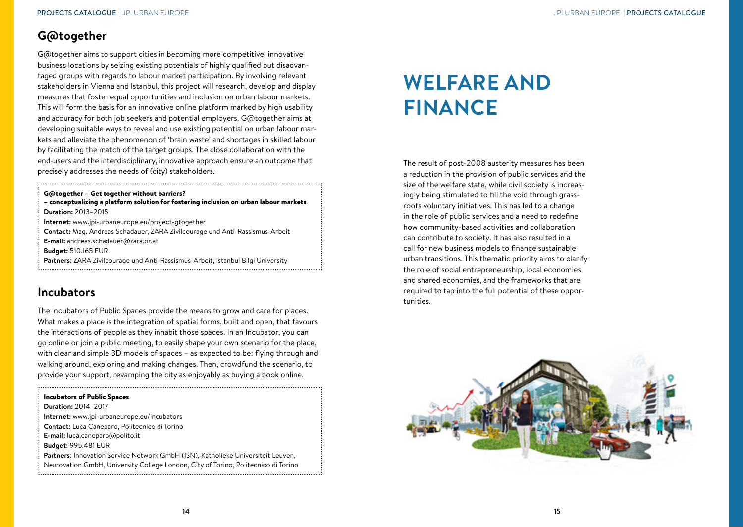### <span id="page-8-0"></span>**G@together**

G@together aims to support cities in becoming more competitive, innovative business locations by seizing existing potentials of highly qualified but disadvantaged groups with regards to labour market participation. By involving relevant stakeholders in Vienna and Istanbul, this project will research, develop and display measures that foster equal opportunities and inclusion on urban labour markets. This will form the basis for an innovative online platform marked by high usability and accuracy for both job seekers and potential employers. G@together aims at developing suitable ways to reveal and use existing potential on urban labour markets and alleviate the phenomenon of 'brain waste' and shortages in skilled labour by facilitating the match of the target groups. The close collaboration with the end-users and the interdisciplinary, innovative approach ensure an outcome that precisely addresses the needs of (city) stakeholders.

G@together – Get together without barriers? – conceptualizing a platform solution for fostering inclusion on urban labour markets **Duration:** 2013–2015

**Internet:** www.jpi-urbaneurope.eu/project-gtogether

**Contact:** Mag. Andreas Schadauer, ZARA Zivilcourage und Anti-Rassismus-Arbeit

**E-mail:** andreas.schadauer@zara.or.at

**Budget:** 510.165 EUR

**Partners**: ZARA Zivilcourage und Anti-Rassismus-Arbeit, Istanbul Bilgi University

#### **Incubators**

The Incubators of Public Spaces provide the means to grow and care for places. What makes a place is the integration of spatial forms, built and open, that favours the interactions of people as they inhabit those spaces. In an Incubator, you can go online or join a public meeting, to easily shape your own scenario for the place, with clear and simple 3D models of spaces – as expected to be: flying through and walking around, exploring and making changes. Then, crowdfund the scenario, to provide your support, revamping the city as enjoyably as buying a book online.

#### Incubators of Public Spaces

- **Duration:** 2014–2017
- **Internet:** www.jpi-urbaneurope.eu/incubators
- **Contact:** Luca Caneparo, Politecnico di Torino
- **E-mail:** luca.caneparo@polito.it
- **Budget:** 995.481 EUR

**Partners**: Innovation Service Network GmbH (ISN), Katholieke Universiteit Leuven, Neurovation GmbH, University College London, City of Torino, Politecnico di Torino

# **WELFARE AND FINANCE**

The result of post-2008 austerity measures has been a reduction in the provision of public services and the size of the welfare state, while civil society is increasingly being stimulated to fill the void through grassroots voluntary initiatives. This has led to a change in the role of public services and a need to redefine how community-based activities and collaboration can contribute to society. It has also resulted in a call for new business models to finance sustainable urban transitions. This thematic priority aims to clarify the role of social entrepreneurship, local economies and shared economies, and the frameworks that are required to tap into the full potential of these opportunities.

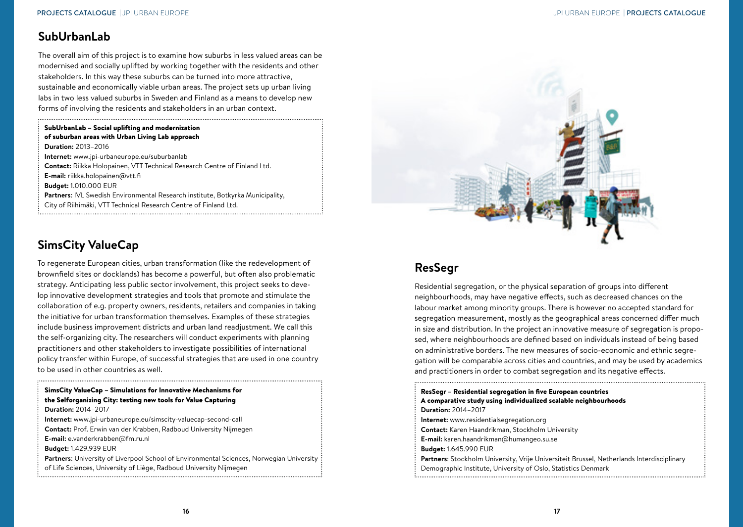## <span id="page-9-0"></span>**SubUrbanLab**

The overall aim of this project is to examine how suburbs in less valued areas can be modernised and socially uplifted by working together with the residents and other stakeholders. In this way these suburbs can be turned into more attractive, sustainable and economically viable urban areas. The project sets up urban living labs in two less valued suburbs in Sweden and Finland as a means to develop new forms of involving the residents and stakeholders in an urban context.

SubUrbanLab – Social uplifting and modernization of suburban areas with Urban Living Lab approach **Duration:** 2013–2016 **Internet:** www.jpi-urbaneurope.eu/suburbanlab **Contact:** Riikka Holopainen, VTT Technical Research Centre of Finland Ltd. **E-mail:** riikka.holopainen@vtt.fi **Budget:** 1.010.000 EUR **Partners**: IVL Swedish Environmental Research institute, Botkyrka Municipality, City of Riihimäki, VTT Technical Research Centre of Finland Ltd.

## **SimsCity ValueCap**

To regenerate European cities, urban transformation (like the redevelopment of brownfield sites or docklands) has become a powerful, but often also problematic strategy. Anticipating less public sector involvement, this project seeks to develop innovative development strategies and tools that promote and stimulate the collaboration of e.g. property owners, residents, retailers and companies in taking the initiative for urban transformation themselves. Examples of these strategies include business improvement districts and urban land readjustment. We call this the self-organizing city. The researchers will conduct experiments with planning practitioners and other stakeholders to investigate possibilities of international policy transfer within Europe, of successful strategies that are used in one country to be used in other countries as well.

SimsCity ValueCap – Simulations for Innovative Mechanisms for the Selforganizing City: testing new tools for Value Capturing **Duration:** 2014–2017 **Internet:** www.jpi-urbaneurope.eu/simscity-valuecap-second-call **Contact:** Prof. Erwin van der Krabben, Radboud University Nijmegen **E-mail:** e.vanderkrabben@fm.ru.nl **Budget:** 1.429.939 EUR **Partners**: University of Liverpool School of Environmental Sciences, Norwegian University of Life Sciences, University of Liège, Radboud University Nijmegen



# **ResSegr**

Residential segregation, or the physical separation of groups into different neighbourhoods, may have negative effects, such as decreased chances on the labour market among minority groups. There is however no accepted standard for segregation measurement, mostly as the geographical areas concerned differ much in size and distribution. In the project an innovative measure of segregation is proposed, where neighbourhoods are defined based on individuals instead of being based on administrative borders. The new measures of socio-economic and ethnic segregation will be comparable across cities and countries, and may be used by academics and practitioners in order to combat segregation and its negative effects.

| ResSegr – Residential segregation in five European countries<br>A comparative study using individualized scalable neighbourhoods |
|----------------------------------------------------------------------------------------------------------------------------------|
| <b>Duration: 2014-2017</b>                                                                                                       |
| <b>Internet:</b> www.residentialsegregation.org                                                                                  |
| <b>Contact:</b> Karen Haandrikman, Stockholm University                                                                          |
| <b>E-mail:</b> karen.haandrikman@humangeo.su.se                                                                                  |
| <b>Budget: 1.645.990 EUR</b>                                                                                                     |
| <b>Partners:</b> Stockholm University, Vrije Universiteit Brussel, Netherlands Interdisciplinary                                 |
| Demographic Institute, University of Oslo, Statistics Denmark                                                                    |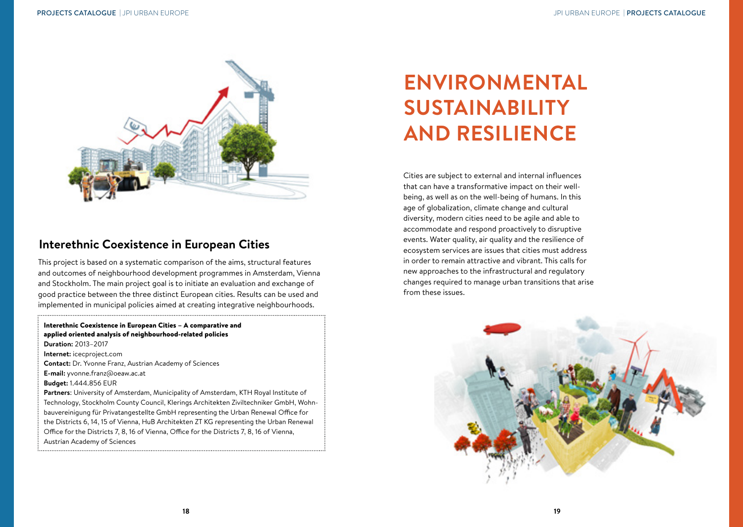<span id="page-10-0"></span>

## **Interethnic Coexistence in European Cities**

This project is based on a systematic comparison of the aims, structural features and outcomes of neighbourhood development programmes in Amsterdam, Vienna and Stockholm. The main project goal is to initiate an evaluation and exchange of good practice between the three distinct European cities. Results can be used and implemented in municipal policies aimed at creating integrative neighbourhoods.

Interethnic Coexistence in European Cities – A comparative and applied oriented analysis of neighbourhood-related policies **Duration:** 2013–2017 **Internet:** icecproject.com **Contact:** Dr. Yvonne Franz, Austrian Academy of Sciences **E-mail:** yvonne.franz@oeaw.ac.at **Budget:** 1.444.856 EUR **Partners**: University of Amsterdam, Municipality of Amsterdam, KTH Royal Institute of Technology, Stockholm County Council, Klerings Architekten Ziviltechniker GmbH, Wohnbauvereinigung für Privatangestellte GmbH representing the Urban Renewal Office for the Districts 6, 14, 15 of Vienna, HuB Architekten ZT KG representing the Urban Renewal Office for the Districts 7, 8, 16 of Vienna, Office for the Districts 7, 8, 16 of Vienna, Austrian Academy of Sciences

# **ENVIRONMENTAL SUSTAINABILITY AND RESILIENCE**

Cities are subject to external and internal influences that can have a transformative impact on their wellbeing, as well as on the well-being of humans. In this age of globalization, climate change and cultural diversity, modern cities need to be agile and able to accommodate and respond proactively to disruptive events. Water quality, air quality and the resilience of ecosystem services are issues that cities must address in order to remain attractive and vibrant. This calls for new approaches to the infrastructural and regulatory changes required to manage urban transitions that arise from these issues.

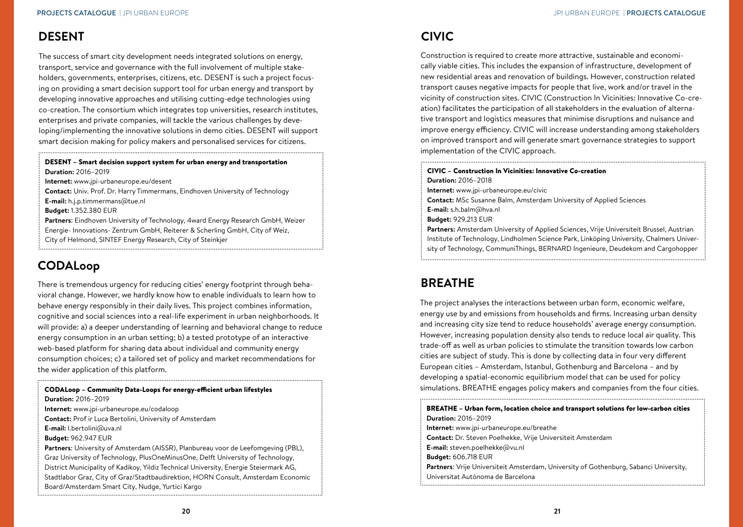## <span id="page-11-0"></span>**DESENT**

The success of smart city development needs integrated solutions on energy, transport, service and governance with the full involvement of multiple stakeholders, governments, enterprises, citizens, etc. DESENT is such a project focusing on providing a smart decision support tool for urban energy and transport by developing innovative approaches and utilising cutting-edge technologies using co-creation. The consortium which integrates top universities, research institutes, enterprises and private companies, will tackle the various challenges by developing/implementing the innovative solutions in demo cities. DESENT will support smart decision making for policy makers and personalised services for citizens.

DESENT – Smart decision support system for urban energy and transportation **Duration:** 2016–2019

**Internet:** www.jpi-urbaneurope.eu/desent

**Contact:** Univ. Prof. Dr. Harry Timmermans, Eindhoven University of Technology

**E-mail:** h.j.p.timmermans@tue.nl

**Budget:** 1.352.380 EUR

**Partners**: Eindhoven University of Technology, 4ward Energy Research GmbH, Weizer Energie- Innovations- Zentrum GmbH, Reiterer & Scherling GmbH, City of Weiz, City of Helmond, SINTEF Energy Research, City of Steinkjer

# **CODALoop**

There is tremendous urgency for reducing cities' energy footprint through behavioral change. However, we hardly know how to enable individuals to learn how to behave energy responsibly in their daily lives. This project combines information, cognitive and social sciences into a real-life experiment in urban neighborhoods. It will provide: a) a deeper understanding of learning and behavioral change to reduce energy consumption in an urban setting; b) a tested prototype of an interactive web-based platform for sharing data about individual and community energy consumption choices; c) a tailored set of policy and market recommendations for the wider application of this platform.

| CODALoop - Community Data-Loops for energy-efficient urban lifestyles                 |
|---------------------------------------------------------------------------------------|
| <b>Duration: 2016-2019</b>                                                            |
| Internet: www.jpi-urbaneurope.eu/codaloop                                             |
| <b>Contact:</b> Prof ir Luca Bertolini, University of Amsterdam                       |
| E-mail: I.bertolini@uva.nl                                                            |
| <b>Budget: 962.947 EUR</b>                                                            |
| Partners: University of Amsterdam (AISSR), Planbureau voor de Leefomgeving (PBL),     |
| Graz University of Technology, PlusOneMinusOne, Delft University of Technology,       |
| District Municipality of Kadikoy, Yildiz Technical University, Energie Steiermark AG, |
| Stadtlabor Graz, City of Graz/Stadtbaudirektion, HORN Consult, Amsterdam Economic     |
| Board/Amsterdam Smart City, Nudge, Yurtici Kargo                                      |
|                                                                                       |

## **CIVIC**

Construction is required to create more attractive, sustainable and economically viable cities. This includes the expansion of infrastructure, development of new residential areas and renovation of buildings. However, construction related transport causes negative impacts for people that live, work and/or travel in the vicinity of construction sites. CIVIC (Construction In Vicinities: Innovative Co-creation) facilitates the participation of all stakeholders in the evaluation of alternative transport and logistics measures that minimise disruptions and nuisance and improve energy efficiency. CIVIC will increase understanding among stakeholders on improved transport and will generate smart governance strategies to support implementation of the CIVIC approach.

#### CIVIC – Construction In Vicinities: Innovative Co-creation

**Duration:** 2016–2018

- **Internet:** www.jpi-urbaneurope.eu/civic
- **Contact:** MSc Susanne Balm, Amsterdam University of Applied Sciences
- **E-mail:** s.h.balm@hva.nl
- **Budget:** 929.213 EUR

**Partners:** Amsterdam University of Applied Sciences, Vrije Universiteit Brussel, Austrian Institute of Technology, Lindholmen Science Park, Linköping University, Chalmers University of Technology, CommuniThings, BERNARD Ingenieure, Deudekom and Cargohopper

# **BREATHE**

The project analyses the interactions between urban form, economic welfare, energy use by and emissions from households and firms. Increasing urban density and increasing city size tend to reduce households' average energy consumption. However, increasing population density also tends to reduce local air quality. This trade-off as well as urban policies to stimulate the transition towards low carbon cities are subject of study. This is done by collecting data in four very different European cities – Amsterdam, Istanbul, Gothenburg and Barcelona – and by developing a spatial-economic equilibrium model that can be used for policy simulations. BREATHE engages policy makers and companies from the four cities.

BREATHE – Urban form, location choice and transport solutions for low-carbon cities **Duration:** 2016–2019 **Internet:** www.jpi-urbaneurope.eu/breathe **Contact:** Dr. Steven Poelhekke, Vrije Universiteit Amsterdam **E-mail:** steven.poelhekke@vu.nl **Budget:** 606.718 EUR **Partners**: Vrije Universiteit Amsterdam, University of Gothenburg, Sabanci University, Universitat Autònoma de Barcelona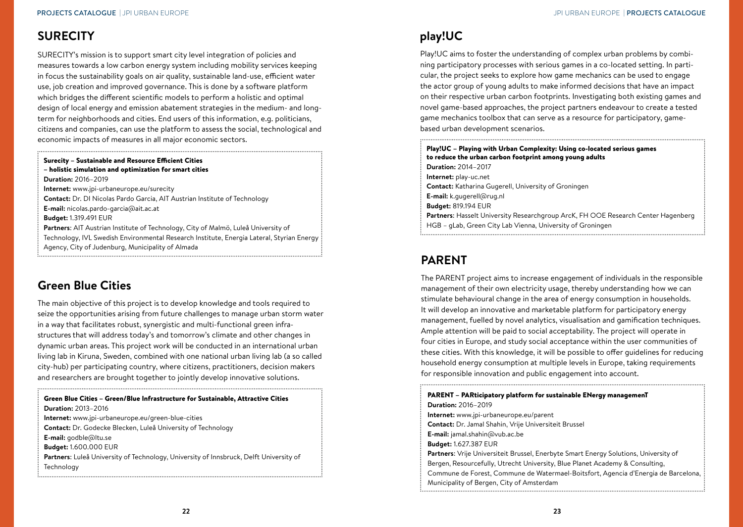## <span id="page-12-0"></span>**SURECITY**

SURECITY's mission is to support smart city level integration of policies and measures towards a low carbon energy system including mobility services keeping in focus the sustainability goals on air quality, sustainable land-use, efficient water use, job creation and improved governance. This is done by a software platform which bridges the different scientific models to perform a holistic and optimal design of local energy and emission abatement strategies in the medium- and longterm for neighborhoods and cities. End users of this information, e.g. politicians, citizens and companies, can use the platform to assess the social, technological and economic impacts of measures in all major economic sectors.

#### Surecity – Sustainable and Resource Efficient Cities

– holistic simulation and optimization for smart cities **Duration:** 2016–2019 **Internet:** www.jpi-urbaneurope.eu/surecity **Contact:** Dr. DI Nicolas Pardo Garcia, AIT Austrian Institute of Technology **E-mail:** nicolas.pardo-garcia@ait.ac.at **Budget:** 1.319.491 EUR **Partners**: AIT Austrian Institute of Technology, City of Malmö, Luleå University of Technology, IVL Swedish Environmental Research Institute, Energia Lateral, Styrian Energy

Agency, City of Judenburg, Municipality of Almada

## **Green Blue Cities**

The main objective of this project is to develop knowledge and tools required to seize the opportunities arising from future challenges to manage urban storm water in a way that facilitates robust, synergistic and multi-functional green infrastructures that will address today's and tomorrow's climate and other changes in dynamic urban areas. This project work will be conducted in an international urban living lab in Kiruna, Sweden, combined with one national urban living lab (a so called city-hub) per participating country, where citizens, practitioners, decision makers and researchers are brought together to jointly develop innovative solutions.

## **play!UC**

Play!UC aims to foster the understanding of complex urban problems by combining participatory processes with serious games in a co-located setting. In particular, the project seeks to explore how game mechanics can be used to engage the actor group of young adults to make informed decisions that have an impact on their respective urban carbon footprints. Investigating both existing games and novel game-based approaches, the project partners endeavour to create a tested game mechanics toolbox that can serve as a resource for participatory, gamebased urban development scenarios.

| Play!UC - Playing with Urban Complexity: Using co-located serious games<br>to reduce the urban carbon footprint among young adults                     |
|--------------------------------------------------------------------------------------------------------------------------------------------------------|
| <b>Duration: 2014-2017</b>                                                                                                                             |
| Internet: play-uc.net                                                                                                                                  |
| <b>Contact:</b> Katharina Gugerell, University of Groningen                                                                                            |
| <b>E-mail:</b> k.gugerell@rug.nl                                                                                                                       |
| <b>Budget: 819.194 EUR</b>                                                                                                                             |
| <b>Partners:</b> Hasselt University Researchgroup ArcK, FH OOE Research Center Hagenberg<br>HGB - gLab, Green City Lab Vienna, University of Groningen |

## **PARENT**

The PARENT project aims to increase engagement of individuals in the responsible management of their own electricity usage, thereby understanding how we can stimulate behavioural change in the area of energy consumption in households. It will develop an innovative and marketable platform for participatory energy management, fuelled by novel analytics, visualisation and gamification techniques. Ample attention will be paid to social acceptability. The project will operate in four cities in Europe, and study social acceptance within the user communities of these cities. With this knowledge, it will be possible to offer guidelines for reducing household energy consumption at multiple levels in Europe, taking requirements for responsible innovation and public engagement into account.

PARENT – PARticipatory platform for sustainable ENergy managemenT **Duration:** 2016–2019 **Internet:** www.jpi-urbaneurope.eu/parent **Contact:** Dr. Jamal Shahin, Vrije Universiteit Brussel **E-mail:** jamal.shahin@vub.ac.be **Budget:** 1.627.387 EUR **Partners**: Vrije Universiteit Brussel, Enerbyte Smart Energy Solutions, University of Bergen, Resourcefully, Utrecht University, Blue Planet Academy & Consulting, Commune de Forest, Commune de Watermael-Boitsfort, Agencia d'Energia de Barcelona, Municipality of Bergen, City of Amsterdam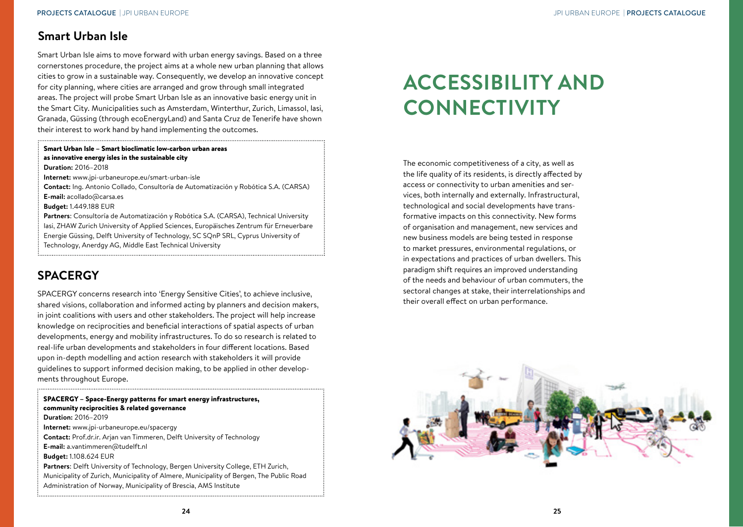#### <span id="page-13-0"></span>**Smart Urban Isle**

Smart Urban Isle aims to move forward with urban energy savings. Based on a three cornerstones procedure, the project aims at a whole new urban planning that allows cities to grow in a sustainable way. Consequently, we develop an innovative concept for city planning, where cities are arranged and grow through small integrated areas. The project will probe Smart Urban Isle as an innovative basic energy unit in the Smart City. Municipalities such as Amsterdam, Winterthur, Zurich, Limassol, Iasi, Granada, Güssing (through ecoEnergyLand) and Santa Cruz de Tenerife have shown their interest to work hand by hand implementing the outcomes.

#### Smart Urban Isle – Smart bioclimatic low-carbon urban areas as innovative energy isles in the sustainable city **Duration:** 2016–2018

**Internet:** www.jpi-urbaneurope.eu/smart-urban-isle

**Contact:** Ing. Antonio Collado, Consultoría de Automatización y Robótica S.A. (CARSA) **E-mail:** acollado@carsa.es

**Budget:** 1.449.188 EUR

**Partners**: Consultoría de Automatización y Robótica S.A. (CARSA), Technical University Iasi, ZHAW Zurich University of Applied Sciences, Europäisches Zentrum für Erneuerbare Energie Güssing, Delft University of Technology, SC SQnP SRL, Cyprus University of Technology, Anerdgy AG, Middle East Technical University

# **SPACERGY**

SPACERGY concerns research into 'Energy Sensitive Cities', to achieve inclusive, shared visions, collaboration and informed acting by planners and decision makers, in joint coalitions with users and other stakeholders. The project will help increase knowledge on reciprocities and beneficial interactions of spatial aspects of urban developments, energy and mobility infrastructures. To do so research is related to real-life urban developments and stakeholders in four different locations. Based upon in-depth modelling and action research with stakeholders it will provide guidelines to support informed decision making, to be applied in other developments throughout Europe.

SPACERGY – Space-Energy patterns for smart energy infrastructures, community reciprocities & related governance **Duration:** 2016–2019 **Internet:** www.jpi-urbaneurope.eu/spacergy **Contact:** Prof.dr.ir. Arjan van Timmeren, Delft University of Technology **E-mail:** a.vantimmeren@tudelft.nl **Budget:** 1.108.624 EUR **Partners**: Delft University of Technology, Bergen University College, ETH Zurich, Municipality of Zurich, Municipality of Almere, Municipality of Bergen, The Public Road Administration of Norway, Municipality of Brescia, AMS Institute

# **ACCESSIBILITY AND CONNECTIVITY**

The economic competitiveness of a city, as well as the life quality of its residents, is directly affected by access or connectivity to urban amenities and services, both internally and externally. Infrastructural, technological and social developments have transformative impacts on this connectivity. New forms of organisation and management, new services and new business models are being tested in response to market pressures, environmental regulations, or in expectations and practices of urban dwellers. This paradigm shift requires an improved understanding of the needs and behaviour of urban commuters, the sectoral changes at stake, their interrelationships and their overall effect on urban performance.

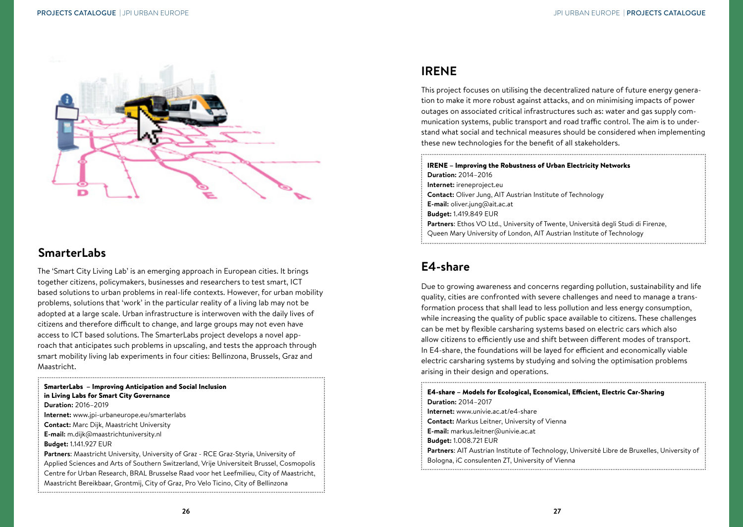<span id="page-14-0"></span>

#### **SmarterLabs**

The 'Smart City Living Lab' is an emerging approach in European cities. It brings together citizens, policymakers, businesses and researchers to test smart, ICT based solutions to urban problems in real-life contexts. However, for urban mobility problems, solutions that 'work' in the particular reality of a living lab may not be adopted at a large scale. Urban infrastructure is interwoven with the daily lives of citizens and therefore difficult to change, and large groups may not even have access to ICT based solutions. The SmarterLabs project develops a novel approach that anticipates such problems in upscaling, and tests the approach through smart mobility living lab experiments in four cities: Bellinzona, Brussels, Graz and Maastricht.

SmarterLabs – Improving Anticipation and Social Inclusion in Living Labs for Smart City Governance **Duration:** 2016–2019 **Internet:** www.jpi-urbaneurope.eu/smarterlabs **Contact:** Marc Dijk, Maastricht University **E-mail:** m.dijk@maastrichtuniversity.nl **Budget:** 1.141.927 EUR **Partners**: Maastricht University, University of Graz - RCE Graz-Styria, University of Applied Sciences and Arts of Southern Switzerland, Vrije Universiteit Brussel, Cosmopolis Centre for Urban Research, BRAL Brusselse Raad voor het Leefmilieu, City of Maastricht, Maastricht Bereikbaar, Grontmij, City of Graz, Pro Velo Ticino, City of Bellinzona

## **IRENE**

This project focuses on utilising the decentralized nature of future energy generation to make it more robust against attacks, and on minimising impacts of power outages on associated critical infrastructures such as: water and gas supply communication systems, public transport and road traffic control. The aim is to understand what social and technical measures should be considered when implementing these new technologies for the benefit of all stakeholders.

IRENE – Improving the Robustness of Urban Electricity Networks **Duration:** 2014–2016 **Internet:** ireneproject.eu **Contact:** Oliver Jung, AIT Austrian Institute of Technology **E-mail:** oliver.jung@ait.ac.at **Budget:** 1.419.849 EUR **Partners**: Ethos VO Ltd., University of Twente, Università degli Studi di Firenze, Queen Mary University of London, AIT Austrian Institute of Technology

## **E4-share**

Due to growing awareness and concerns regarding pollution, sustainability and life quality, cities are confronted with severe challenges and need to manage a transformation process that shall lead to less pollution and less energy consumption, while increasing the quality of public space available to citizens. These challenges can be met by flexible carsharing systems based on electric cars which also allow citizens to efficiently use and shift between different modes of transport. In E4-share, the foundations will be layed for efficient and economically viable electric carsharing systems by studying and solving the optimisation problems arising in their design and operations.

E4-share – Models for Ecological, Economical, Efficient, Electric Car-Sharing **Duration:** 2014–2017 **Internet:** www.univie.ac.at/e4-share **Contact:** Markus Leitner, University of Vienna **E-mail:** markus.leitner@univie.ac.at **Budget:** 1.008.721 EUR **Partners**: AIT Austrian Institute of Technology, Université Libre de Bruxelles, University of Bologna, iC consulenten ZT, University of Vienna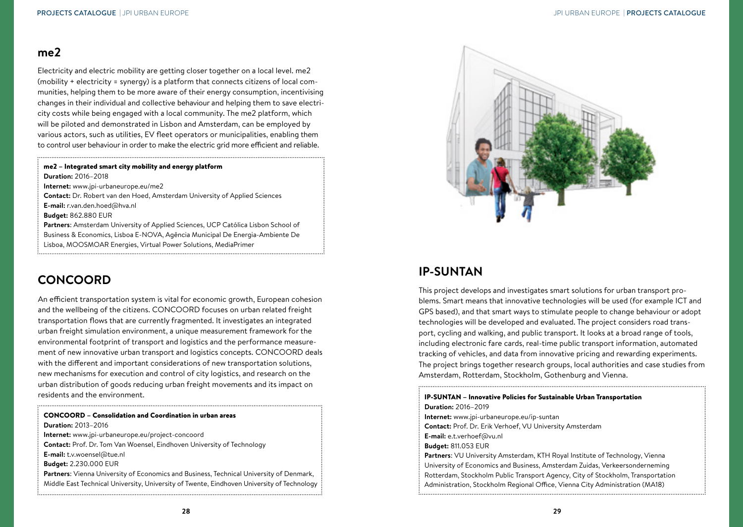#### **me2**

Electricity and electric mobility are getting closer together on a local level. me2 (mobility + electricity = synergy) is a platform that connects citizens of local communities, helping them to be more aware of their energy consumption, incentivising changes in their individual and collective behaviour and helping them to save electricity costs while being engaged with a local community. The me2 platform, which will be piloted and demonstrated in Lisbon and Amsterdam, can be employed by various actors, such as utilities, EV fleet operators or municipalities, enabling them to control user behaviour in order to make the electric grid more efficient and reliable.

#### me2 – Integrated smart city mobility and energy platform

**Duration:** 2016–2018

**Internet:** www.jpi-urbaneurope.eu/me2

**Contact:** Dr. Robert van den Hoed, Amsterdam University of Applied Sciences

**E-mail:** r.van.den.hoed@hva.nl

**Budget:** 862.880 EUR

**Partners**: Amsterdam University of Applied Sciences, UCP Católica Lisbon School of Business & Economics, Lisboa E-NOVA, Agência Municipal De Energia-Ambiente De Lisboa, MOOSMOAR Energies, Virtual Power Solutions, MediaPrimer

#### **CONCOORD**

An efficient transportation system is vital for economic growth, European cohesion and the wellbeing of the citizens. CONCOORD focuses on urban related freight transportation flows that are currently fragmented. It investigates an integrated urban freight simulation environment, a unique measurement framework for the environmental footprint of transport and logistics and the performance measurement of new innovative urban transport and logistics concepts. CONCOORD deals with the different and important considerations of new transportation solutions, new mechanisms for execution and control of city logistics, and research on the urban distribution of goods reducing urban freight movements and its impact on residents and the environment.

| <b>CONCOORD - Consolidation and Coordination in urban areas</b>                            |
|--------------------------------------------------------------------------------------------|
| <b>Duration: 2013-2016</b>                                                                 |
| Internet: www.jpi-urbaneurope.eu/project-concoord                                          |
| <b>Contact:</b> Prof. Dr. Tom Van Woensel, Eindhoven University of Technology              |
| <b>E-mail:</b> t.v.woensel@tue.nl                                                          |
| <b>Budget: 2.230.000 EUR</b>                                                               |
| Partners: Vienna University of Economics and Business, Technical University of Denmark,    |
| Middle East Technical University, University of Twente, Eindhoven University of Technology |
|                                                                                            |



## **IP-SUNTAN**

This project develops and investigates smart solutions for urban transport problems. Smart means that innovative technologies will be used (for example ICT and GPS based), and that smart ways to stimulate people to change behaviour or adopt technologies will be developed and evaluated. The project considers road transport, cycling and walking, and public transport. It looks at a broad range of tools, including electronic fare cards, real-time public transport information, automated tracking of vehicles, and data from innovative pricing and rewarding experiments. The project brings together research groups, local authorities and case studies from Amsterdam, Rotterdam, Stockholm, Gothenburg and Vienna.

IP-SUNTAN – Innovative Policies for Sustainable Urban Transportation **Duration:** 2016–2019 **Internet:** www.jpi-urbaneurope.eu/ip-suntan **Contact:** Prof. Dr. Erik Verhoef, VU University Amsterdam **E-mail:** e.t.verhoef@vu.nl **Budget:** 811.053 EUR **Partners**: VU University Amsterdam, KTH Royal Institute of Technology, Vienna University of Economics and Business, Amsterdam Zuidas, Verkeersonderneming Rotterdam, Stockholm Public Transport Agency, City of Stockholm, Transportation Administration, Stockholm Regional Office, Vienna City Administration (MA18)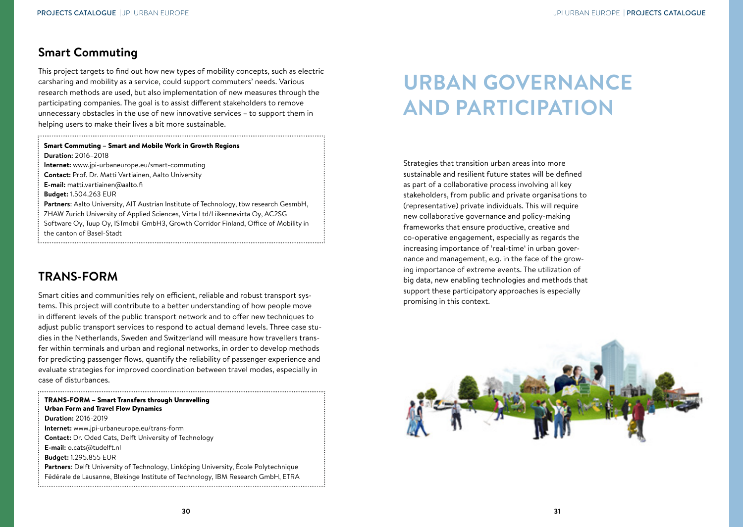### <span id="page-16-0"></span>**Smart Commuting**

This project targets to find out how new types of mobility concepts, such as electric carsharing and mobility as a service, could support commuters' needs. Various research methods are used, but also implementation of new measures through the participating companies. The goal is to assist different stakeholders to remove unnecessary obstacles in the use of new innovative services – to support them in helping users to make their lives a bit more sustainable.

#### Smart Commuting – Smart and Mobile Work in Growth Regions **Duration:** 2016–2018

**Internet:** www.jpi-urbaneurope.eu/smart-commuting

**Contact:** Prof. Dr. Matti Vartiainen, Aalto University

**E-mail:** matti.vartiainen@aalto.fi

**Budget:** 1.504.263 EUR

**Partners**: Aalto University, AIT Austrian Institute of Technology, tbw research GesmbH, ZHAW Zurich University of Applied Sciences, Virta Ltd/Liikennevirta Oy, AC2SG Software Oy, Tuup Oy, ISTmobil GmbH3, Growth Corridor Finland, Office of Mobility in the canton of Basel-Stadt

## **TRANS-FORM**

Smart cities and communities rely on efficient, reliable and robust transport systems. This project will contribute to a better understanding of how people move in different levels of the public transport network and to offer new techniques to adjust public transport services to respond to actual demand levels. Three case studies in the Netherlands, Sweden and Switzerland will measure how travellers transfer within terminals and urban and regional networks, in order to develop methods for predicting passenger flows, quantify the reliability of passenger experience and evaluate strategies for improved coordination between travel modes, especially in case of disturbances.

# **URBAN GOVERNANCE AND PARTICIPATION**

Strategies that transition urban areas into more sustainable and resilient future states will be defined as part of a collaborative process involving all key stakeholders, from public and private organisations to (representative) private individuals. This will require new collaborative governance and policy-making frameworks that ensure productive, creative and co-operative engagement, especially as regards the increasing importance of 'real-time' in urban governance and management, e.g. in the face of the growing importance of extreme events. The utilization of big data, new enabling technologies and methods that support these participatory approaches is especially promising in this context.

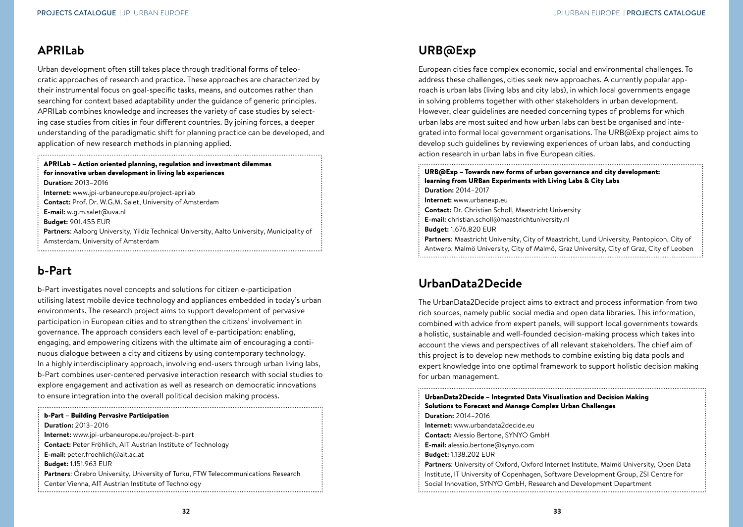## <span id="page-17-0"></span>**APRILab**

Urban development often still takes place through traditional forms of teleocratic approaches of research and practice. These approaches are characterized by their instrumental focus on goal-specific tasks, means, and outcomes rather than searching for context based adaptability under the guidance of generic principles. APRILab combines knowledge and increases the variety of case studies by selecting case studies from cities in four different countries. By joining forces, a deeper understanding of the paradigmatic shift for planning practice can be developed, and application of new research methods in planning applied.

#### APRILab – Action oriented planning, regulation and investment dilemmas for innovative urban development in living lab experiences **Duration:** 2013–2016

**Internet:** www.jpi-urbaneurope.eu/project-aprilab **Contact:** Prof. Dr. W.G.M. Salet, University of Amsterdam **E-mail:** w.g.m.salet@uva.nl **Budget:** 901.455 EUR **Partners**: Aalborg University, Yildiz Technical University, Aalto University, Municipality of Amsterdam, University of Amsterdam

# **b-Part**

b-Part investigates novel concepts and solutions for citizen e-participation utilising latest mobile device technology and appliances embedded in today's urban environments. The research project aims to support development of pervasive participation in European cities and to strengthen the citizens' involvement in governance. The approach considers each level of e-participation: enabling, engaging, and empowering citizens with the ultimate aim of encouraging a continuous dialogue between a city and citizens by using contemporary technology. In a highly interdisciplinary approach, involving end-users through urban living labs, b-Part combines user-centered pervasive interaction research with social studies to explore engagement and activation as well as research on democratic innovations to ensure integration into the overall political decision making process.

#### b-Part – Building Pervasive Participation

**Duration:** 2013–2016 **Internet:** www.jpi-urbaneurope.eu/project-b-part **Contact:** Peter Fröhlich, AIT Austrian Institute of Technology **E-mail:** peter.froehlich@ait.ac.at **Budget:** 1.151.963 EUR **Partners**: Örebro University, University of Turku, FTW Telecommunications Research Center Vienna, AIT Austrian Institute of Technology

## **URB@Exp**

European cities face complex economic, social and environmental challenges. To address these challenges, cities seek new approaches. A currently popular approach is urban labs (living labs and city labs), in which local governments engage in solving problems together with other stakeholders in urban development. However, clear guidelines are needed concerning types of problems for which urban labs are most suited and how urban labs can best be organised and integrated into formal local government organisations. The URB@Exp project aims to develop such guidelines by reviewing experiences of urban labs, and conducting action research in urban labs in five European cities.

URB@Exp – Towards new forms of urban governance and city development: learning from URBan Experiments with Living Labs & City Labs **Duration:** 2014–2017 **Internet:** www.urbanexp.eu **Contact:** Dr. Christian Scholl, Maastricht University **E-mail:** christian.scholl@maastrichtuniversity.nl **Budget:** 1.676.820 EUR **Partners**: Maastricht University, City of Maastricht, Lund University, Pantopicon, City of Antwerp, Malmö University, City of Malmö, Graz University, City of Graz, City of Leoben

# **UrbanData2Decide**

The UrbanData2Decide project aims to extract and process information from two rich sources, namely public social media and open data libraries. This information, combined with advice from expert panels, will support local governments towards a holistic, sustainable and well-founded decision-making process which takes into account the views and perspectives of all relevant stakeholders. The chief aim of this project is to develop new methods to combine existing big data pools and expert knowledge into one optimal framework to support holistic decision making for urban management.

UrbanData2Decide – Integrated Data Visualisation and Decision Making Solutions to Forecast and Manage Complex Urban Challenges **Duration:** 2014–2016 **Internet:** www.urbandata2decide.eu **Contact:** Alessio Bertone, SYNYO GmbH **E-mail:** alessio.bertone@synyo.com **Budget:** 1.138.202 EUR **Partners**: University of Oxford, Oxford Internet Institute, Malmö University, Open Data Institute, IT University of Copenhagen, Software Development Group, ZSI Centre for Social Innovation, SYNYO GmbH, Research and Development Department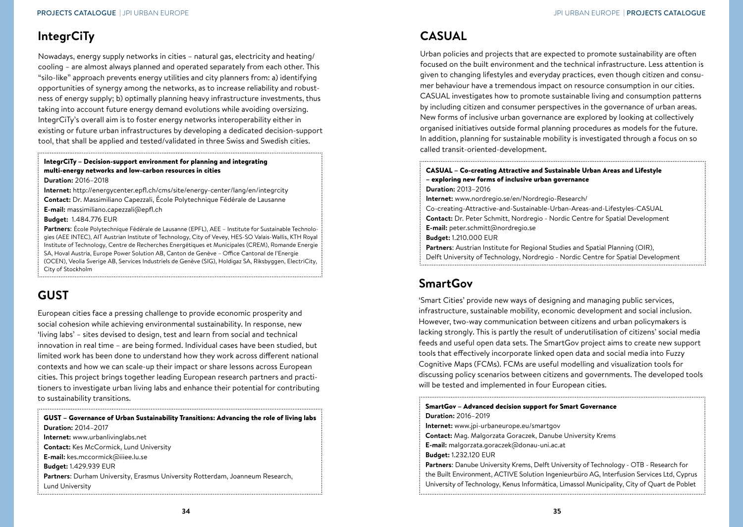## <span id="page-18-0"></span>**IntegrCiTy**

Nowadays, energy supply networks in cities – natural gas, electricity and heating/ cooling – are almost always planned and operated separately from each other. This "silo-like" approach prevents energy utilities and city planners from: a) identifying opportunities of synergy among the networks, as to increase reliability and robustness of energy supply; b) optimally planning heavy infrastructure investments, thus taking into account future energy demand evolutions while avoiding oversizing. IntegrCiTy's overall aim is to foster energy networks interoperability either in existing or future urban infrastructures by developing a dedicated decision-support tool, that shall be applied and tested/validated in three Swiss and Swedish cities.

#### IntegrCiTy – Decision-support environment for planning and integrating multi-energy networks and low-carbon resources in cities **Duration:** 2016–2018

**Internet:** http://energycenter.epfl.ch/cms/site/energy-center/lang/en/integrcity **Contact:** Dr. Massimiliano Capezzali, École Polytechnique Fédérale de Lausanne **E-mail:** massimiliano.capezzali@epfl.ch **Budget:** 1.484.776 EUR

**Partners**: École Polytechnique Fédérale de Lausanne (EPFL), AEE – Institute for Sustainable Technologies (AEE INTEC), AIT Austrian Institute of Technology, City of Vevey, HES-SO Valais-Wallis, KTH Royal Institute of Technology, Centre de Recherches Energétiques et Municipales (CREM), Romande Energie SA, Hoval Austria, Europe Power Solution AB, Canton de Genève – Office Cantonal de l'Energie (OCEN), Veolia Sverige AB, Services Industriels de Genève (SIG), Holdigaz SA, Riksbyggen, ElectriCity, City of Stockholm

# **GUST**

European cities face a pressing challenge to provide economic prosperity and social cohesion while achieving environmental sustainability. In response, new 'living labs' – sites devised to design, test and learn from social and technical innovation in real time – are being formed. Individual cases have been studied, but limited work has been done to understand how they work across different national contexts and how we can scale-up their impact or share lessons across European cities. This project brings together leading European research partners and practitioners to investigate urban living labs and enhance their potential for contributing to sustainability transitions.

| GUST - Governance of Urban Sustainability Transitions: Advancing the role of living labs |
|------------------------------------------------------------------------------------------|
| <b>Duration: 2014-2017</b>                                                               |
| Internet: www.urbanlivinglabs.net                                                        |
| <b>Contact:</b> Kes McCormick, Lund University                                           |
| E-mail: kes.mccormick@iiiee.lu.se                                                        |
| <b>Budget: 1.429.939 EUR</b>                                                             |
| <b>Partners:</b> Durham University, Erasmus University Rotterdam, Joanneum Research,     |
| Lund University                                                                          |

## **CASUAL**

Urban policies and projects that are expected to promote sustainability are often focused on the built environment and the technical infrastructure. Less attention is given to changing lifestyles and everyday practices, even though citizen and consumer behaviour have a tremendous impact on resource consumption in our cities. CASUAL investigates how to promote sustainable living and consumption patterns by including citizen and consumer perspectives in the governance of urban areas. New forms of inclusive urban governance are explored by looking at collectively organised initiatives outside formal planning procedures as models for the future. In addition, planning for sustainable mobility is investigated through a focus on so called transit-oriented-development.

#### CASUAL – Co-creating Attractive and Sustainable Urban Areas and Lifestyle – exploring new forms of inclusive urban governance **Duration:** 2013–2016 **Internet:** www.nordregio.se/en/Nordregio-Research/

- Co-creating-Attractive-and-Sustainable-Urban-Areas-and-Lifestyles-CASUAL
- **Contact:** Dr. Peter Schmitt, Nordregio Nordic Centre for Spatial Development
- **E-mail:** peter.schmitt@nordregio.se
- **Budget:** 1.210.000 EUR
- **Partners**: Austrian Institute for Regional Studies and Spatial Planning (OIR),
- Delft University of Technology, Nordregio Nordic Centre for Spatial Development

# **SmartGov**

'Smart Cities' provide new ways of designing and managing public services, infrastructure, sustainable mobility, economic development and social inclusion. However, two-way communication between citizens and urban policymakers is lacking strongly. This is partly the result of underutilisation of citizens' social media feeds and useful open data sets. The SmartGov project aims to create new support tools that effectively incorporate linked open data and social media into Fuzzy Cognitive Maps (FCMs). FCMs are useful modelling and visualization tools for discussing policy scenarios between citizens and governments. The developed tools will be tested and implemented in four European cities.

#### SmartGov – Advanced decision support for Smart Governance **Duration:** 2016–2019 **Internet:** www.jpi-urbaneurope.eu/smartgov **Contact:** Mag. Malgorzata Goraczek, Danube University Krems **E-mail:** malgorzata.goraczek@donau-uni.ac.at **Budget:** 1.232.120 EUR **Partners**: Danube University Krems, Delft University of Technology - OTB - Research for the Built Environment, ACTIVE Solution Ingenieurbüro AG, Interfusion Services Ltd, Cyprus University of Technology, Kenus Informática, Limassol Municipality, City of Quart de Poblet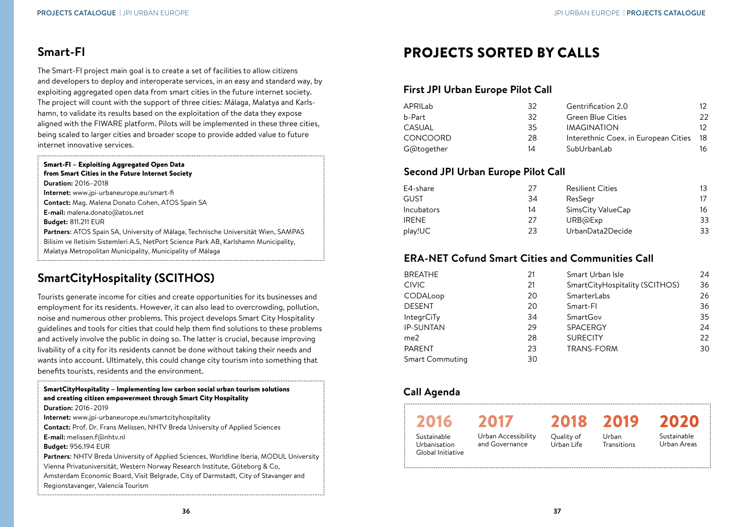## <span id="page-19-0"></span>**Smart-FI**

The Smart-FI project main goal is to create a set of facilities to allow citizens and developers to deploy and interoperate services, in an easy and standard way, by exploiting aggregated open data from smart cities in the future internet society. The project will count with the support of three cities: Málaga, Malatya and Karlshamn, to validate its results based on the exploitation of the data they expose aligned with the FIWARE platform. Pilots will be implemented in these three cities, being scaled to larger cities and broader scope to provide added value to future internet innovative services.

#### Smart-FI – Exploiting Aggregated Open Data from Smart Cities in the Future Internet Society

**Duration:** 2016–2018

**Internet:** www.jpi-urbaneurope.eu/smart-fi

**Contact:** Mag. Malena Donato Cohen, ATOS Spain SA

**E-mail:** malena.donato@atos.net

**Budget:** 811.211 EUR

- **Partners**: ATOS Spain SA, University of Málaga, Technische Universität Wien, SAMPAS
- Bilisim ve Iletisim Sistemleri A.S, NetPort Science Park AB, Karlshamn Municipality,
- Malatya Metropolitan Municipality, Municipality of Málaga

## **SmartCityHospitality (SCITHOS)**

Tourists generate income for cities and create opportunities for its businesses and employment for its residents. However, it can also lead to overcrowding, pollution, noise and numerous other problems. This project develops Smart City Hospitality guidelines and tools for cities that could help them find solutions to these problems and actively involve the public in doing so. The latter is crucial, because improving livability of a city for its residents cannot be done without taking their needs and wants into account. Ultimately, this could change city tourism into something that benefits tourists, residents and the environment.

SmartCityHospitality – Implementing low carbon social urban tourism solutions and creating citizen empowerment through Smart City Hospitality **Duration:** 2016–2019 **Internet:** www.jpi-urbaneurope.eu/smartcityhospitality **Contact:** Prof. Dr. Frans Melissen, NHTV Breda University of Applied Sciences **E-mail:** melissen.f@nhtv.nl **Budget:** 956.194 EUR **Partners**: NHTV Breda University of Applied Sciences, Worldline Iberia, MODUL University Vienna Privatuniversität, Western Norway Research Institute, Göteborg & Co, Amsterdam Economic Board, Visit Belgrade, City of Darmstadt, City of Stavanger and Regionstavanger, Valencia Tourism 

# PROJECTS SORTED BY CALLS

#### **First JPI Urban Europe Pilot Call**

| APRILab         | 32 | Gentrification 2.0                   | 12. |
|-----------------|----|--------------------------------------|-----|
| b-Part          | 32 | <b>Green Blue Cities</b>             | 22  |
| CASUAL          | 35 | <b>IMAGINATION</b>                   | 12. |
| <b>CONCOORD</b> | 28 | Interethnic Coex. in European Cities | 18  |
| G@together      | 14 | SubUrbanLab                          | 16  |

#### **Second JPI Urban Europe Pilot Call**

| E4-share          | 27 | <b>Resilient Cities</b> | 13 |
|-------------------|----|-------------------------|----|
| GUST              | 34 | ResSegr                 |    |
| <b>Incubators</b> | 14 | SimsCity ValueCap       | 16 |
| <b>IRFNF</b>      | 27 | URB@Exp                 | 33 |
| play!UC           | 23 | UrbanData2Decide        | 33 |

#### **ERA-NET Cofund Smart Cities and Communities Call**

| <b>BREATHE</b>    | 21 | Smart Urban Isle               | 24 |
|-------------------|----|--------------------------------|----|
| <b>CIVIC</b>      | 21 | SmartCityHospitality (SCITHOS) | 36 |
| CODALoop          | 20 | SmarterLabs                    | 26 |
| <b>DESENT</b>     | 20 | Smart-Fl                       | 36 |
| <b>IntegrCiTy</b> | 34 | SmartGov                       | 35 |
| <b>IP-SUNTAN</b>  | 29 | <b>SPACERGY</b>                | 24 |
| me2               | 28 | <b>SURECITY</b>                | 22 |
| <b>PARENT</b>     | 23 | <b>TRANS-FORM</b>              | 30 |
| Smart Commuting   | 30 |                                |    |

#### **Call Agenda**

| 2016                                             | 2017                                  | 2018                     | 2019                 | 2020                       |
|--------------------------------------------------|---------------------------------------|--------------------------|----------------------|----------------------------|
| Sustainable<br>Urbanisation<br>Global Initiative | Urban Accessibility<br>and Governance | Quality of<br>Urban Life | Urban<br>Transitions | Sustainable<br>Urban Areas |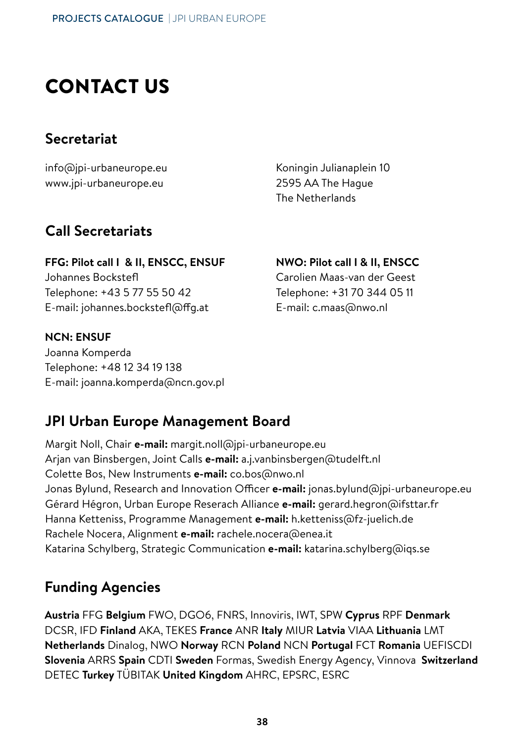# CONTACT US

#### **Secretariat**

info@jpi-urbaneurope.eu www.jpi-urbaneurope.eu

Koningin Julianaplein 10 2595 AA The Hague The Netherlands

#### **Call Secretariats**

**FFG: Pilot call I & II, ENSCC, ENSUF** Johannes Bockstefl Telephone: +43 5 77 55 50 42 E-mail: johannes.bockstefl@ffg.at

#### **NCN: ENSUF**

Joanna Komperda Telephone: +48 12 34 19 138 E-mail: joanna.komperda@ncn.gov.pl

#### **NWO: Pilot call I & II, ENSCC**

Carolien Maas-van der Geest Telephone: +31 70 344 05 11 E-mail: c.maas@nwo.nl

#### **JPI Urban Europe Management Board**

Margit Noll, Chair **e-mail:** margit.noll@jpi-urbaneurope.eu Arjan van Binsbergen, Joint Calls **e-mail:** a.j.vanbinsbergen@tudelft.nl Colette Bos, New Instruments **e-mail:** co.bos@nwo.nl Jonas Bylund, Research and Innovation Officer **e-mail:** jonas.bylund@jpi-urbaneurope.eu Gérard Hégron, Urban Europe Reserach Alliance **e-mail:** gerard.hegron@ifsttar.fr Hanna Ketteniss, Programme Management **e-mail:** h.ketteniss@fz-juelich.de Rachele Nocera, Alignment **e-mail:** rachele.nocera@enea.it Katarina Schylberg, Strategic Communication **e-mail:** katarina.schylberg@iqs.se

#### **Funding Agencies**

**Austria** FFG **Belgium** FWO, DGO6, FNRS, Innoviris, IWT, SPW **Cyprus** RPF **Denmark** DCSR, IFD **Finland** AKA, TEKES **France** ANR **Italy** MIUR **Latvia** VIAA **Lithuania** LMT **Netherlands** Dinalog, NWO **Norway** RCN **Poland** NCN **Portugal** FCT **Romania** UEFISCDI **Slovenia** ARRS **Spain** CDTI **Sweden** Formas, Swedish Energy Agency, Vinnova **Switzerland** DETEC **Turkey** TÜBITAK **United Kingdom** AHRC, EPSRC, ESRC